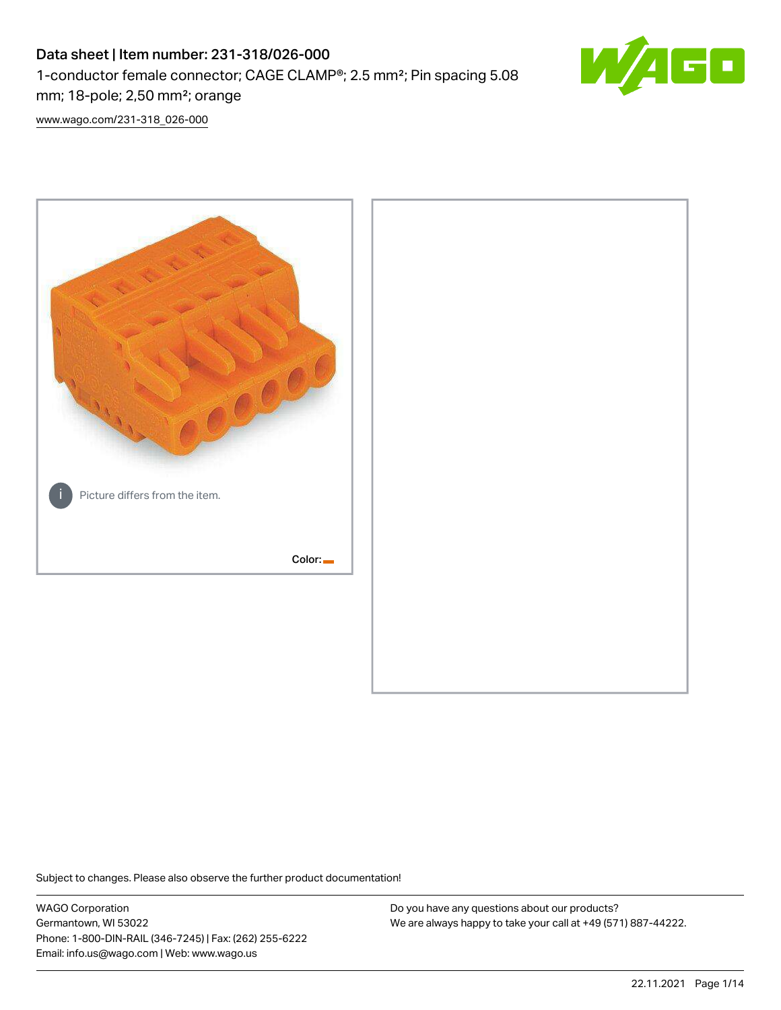# Data sheet | Item number: 231-318/026-000 1-conductor female connector; CAGE CLAMP®; 2.5 mm²; Pin spacing 5.08 mm; 18-pole; 2,50 mm²; orange



[www.wago.com/231-318\\_026-000](http://www.wago.com/231-318_026-000)



Subject to changes. Please also observe the further product documentation!

WAGO Corporation Germantown, WI 53022 Phone: 1-800-DIN-RAIL (346-7245) | Fax: (262) 255-6222 Email: info.us@wago.com | Web: www.wago.us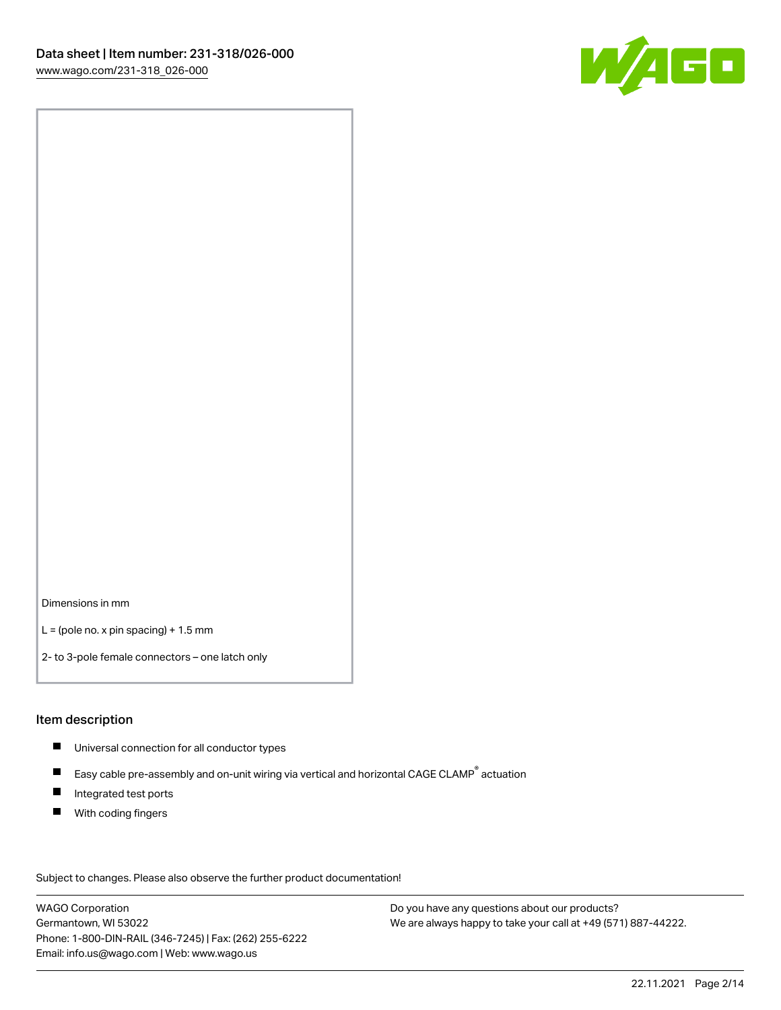

Dimensions in mm

 $L =$  (pole no. x pin spacing) + 1.5 mm

2- to 3-pole female connectors – one latch only

#### Item description

- **Universal connection for all conductor types**
- Easy cable pre-assembly and on-unit wiring via vertical and horizontal CAGE CLAMP<sup>®</sup> actuation  $\blacksquare$
- $\blacksquare$ Integrated test ports
- $\blacksquare$ With coding fingers

Subject to changes. Please also observe the further product documentation! Data

WAGO Corporation Germantown, WI 53022 Phone: 1-800-DIN-RAIL (346-7245) | Fax: (262) 255-6222 Email: info.us@wago.com | Web: www.wago.us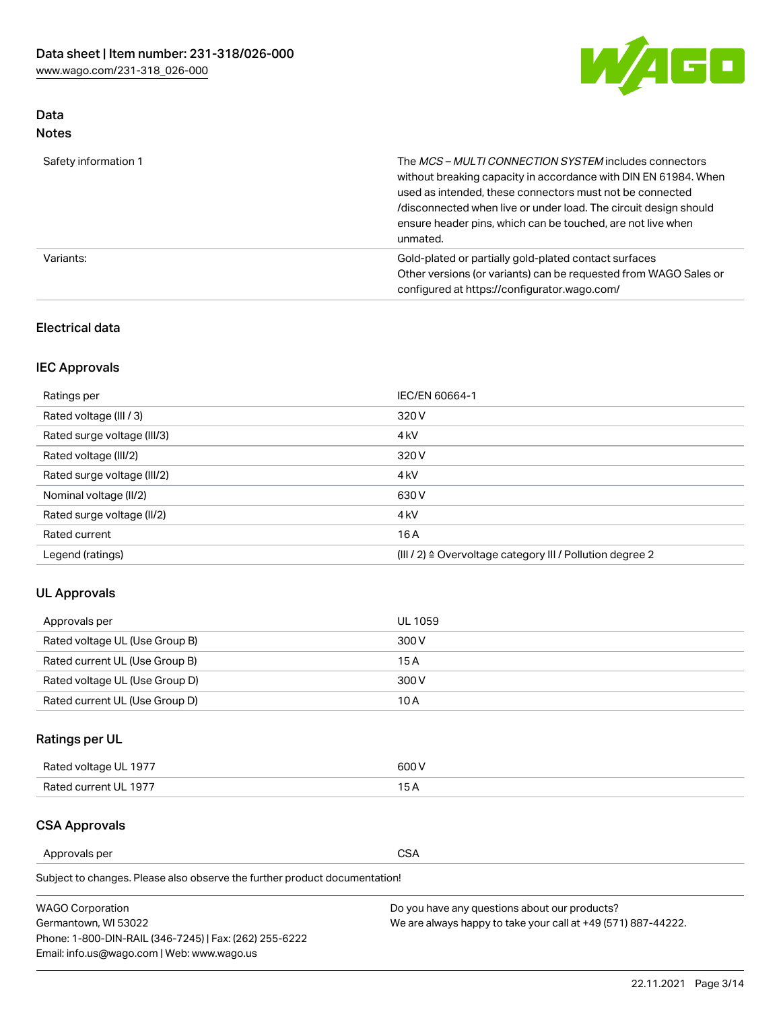

# Data Notes

| Safety information 1 | The MCS-MULTI CONNECTION SYSTEM includes connectors<br>without breaking capacity in accordance with DIN EN 61984. When<br>used as intended, these connectors must not be connected<br>/disconnected when live or under load. The circuit design should<br>ensure header pins, which can be touched, are not live when<br>unmated. |
|----------------------|-----------------------------------------------------------------------------------------------------------------------------------------------------------------------------------------------------------------------------------------------------------------------------------------------------------------------------------|
| Variants:            | Gold-plated or partially gold-plated contact surfaces<br>Other versions (or variants) can be requested from WAGO Sales or<br>configured at https://configurator.wago.com/                                                                                                                                                         |

## Electrical data

# IEC Approvals

| Ratings per                 | IEC/EN 60664-1                                                        |
|-----------------------------|-----------------------------------------------------------------------|
| Rated voltage (III / 3)     | 320 V                                                                 |
| Rated surge voltage (III/3) | 4 <sub>k</sub> V                                                      |
| Rated voltage (III/2)       | 320 V                                                                 |
| Rated surge voltage (III/2) | 4 <sub>k</sub> V                                                      |
| Nominal voltage (II/2)      | 630 V                                                                 |
| Rated surge voltage (II/2)  | 4 <sub>k</sub> V                                                      |
| Rated current               | 16 A                                                                  |
| Legend (ratings)            | $(III / 2)$ $\triangle$ Overvoltage category III / Pollution degree 2 |

# UL Approvals

| Approvals per                  | UL 1059 |
|--------------------------------|---------|
| Rated voltage UL (Use Group B) | 300 V   |
| Rated current UL (Use Group B) | 15 A    |
| Rated voltage UL (Use Group D) | 300 V   |
| Rated current UL (Use Group D) | 10 A    |

# Ratings per UL

| Rated voltage UL 1977 | 300 V |
|-----------------------|-------|
| Rated current UL 1977 |       |

### CSA Approvals

Approvals per CSA

Subject to changes. Please also observe the further product documentation!

| <b>WAGO Corporation</b>                                | Do you have any questions about our products?                 |
|--------------------------------------------------------|---------------------------------------------------------------|
| Germantown, WI 53022                                   | We are always happy to take your call at +49 (571) 887-44222. |
| Phone: 1-800-DIN-RAIL (346-7245)   Fax: (262) 255-6222 |                                                               |
| Email: info.us@wago.com   Web: www.wago.us             |                                                               |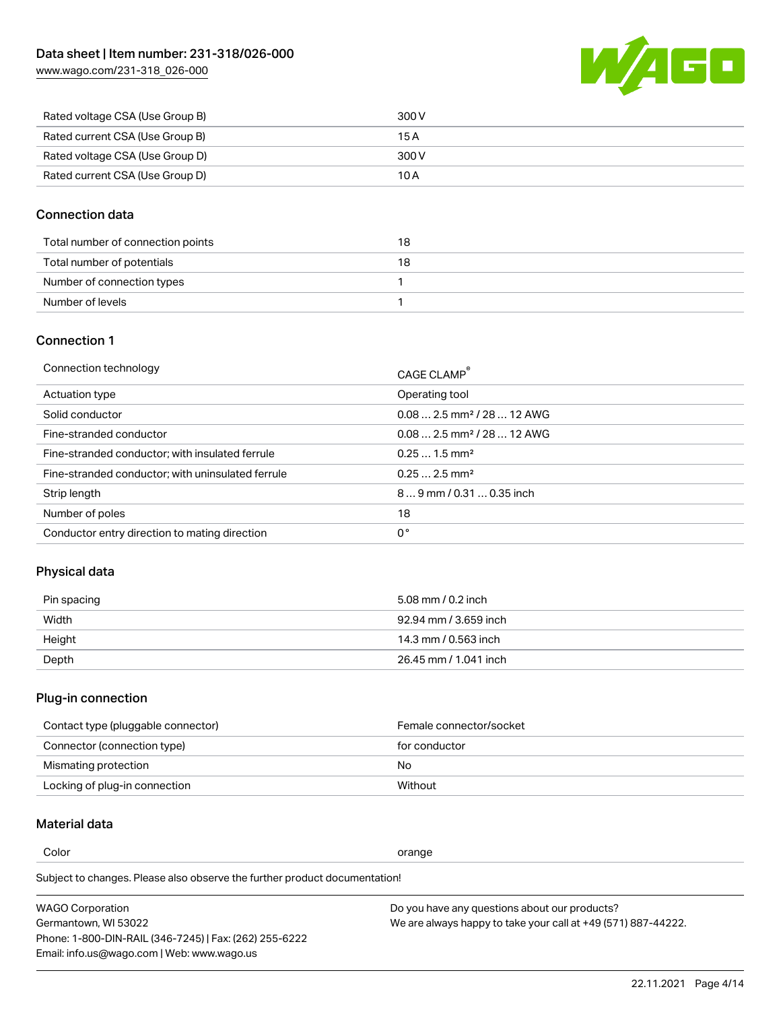

| Rated voltage CSA (Use Group B) | 300 V |
|---------------------------------|-------|
| Rated current CSA (Use Group B) | 15 A  |
| Rated voltage CSA (Use Group D) | 300 V |
| Rated current CSA (Use Group D) | 10 A  |

## Connection data

| Total number of connection points | 18 |
|-----------------------------------|----|
| Total number of potentials        | 18 |
| Number of connection types        |    |
| Number of levels                  |    |

### Connection 1

| Connection technology                             | CAGE CLAMP®                             |
|---------------------------------------------------|-----------------------------------------|
| Actuation type                                    | Operating tool                          |
| Solid conductor                                   | $0.08$ 2.5 mm <sup>2</sup> / 28  12 AWG |
| Fine-stranded conductor                           | $0.082.5$ mm <sup>2</sup> / 28  12 AWG  |
| Fine-stranded conductor; with insulated ferrule   | $0.251.5$ mm <sup>2</sup>               |
| Fine-stranded conductor; with uninsulated ferrule | $0.252.5$ mm <sup>2</sup>               |
| Strip length                                      | $89$ mm / 0.31  0.35 inch               |
| Number of poles                                   | 18                                      |
| Conductor entry direction to mating direction     | 0°                                      |
|                                                   |                                         |

# Physical data

| Pin spacing | 5.08 mm / 0.2 inch    |
|-------------|-----------------------|
| Width       | 92.94 mm / 3.659 inch |
| Height      | 14.3 mm / 0.563 inch  |
| Depth       | 26.45 mm / 1.041 inch |

# Plug-in connection

| Contact type (pluggable connector) | Female connector/socket |
|------------------------------------|-------------------------|
| Connector (connection type)        | for conductor           |
| Mismating protection               | No                      |
| Locking of plug-in connection      | Without                 |

# Material data

Color contracts and contracts of the contracts of the contracts of the contracts of the contracts of the contracts of the contracts of the contracts of the contracts of the contracts of the contracts of the contracts of th

Subject to changes. Please also observe the further product documentation! Material group I

| <b>WAGO Corporation</b>                                | Do you have any questions about our products?                 |
|--------------------------------------------------------|---------------------------------------------------------------|
| Germantown, WI 53022                                   | We are always happy to take your call at +49 (571) 887-44222. |
| Phone: 1-800-DIN-RAIL (346-7245)   Fax: (262) 255-6222 |                                                               |
| Email: info.us@wago.com   Web: www.wago.us             |                                                               |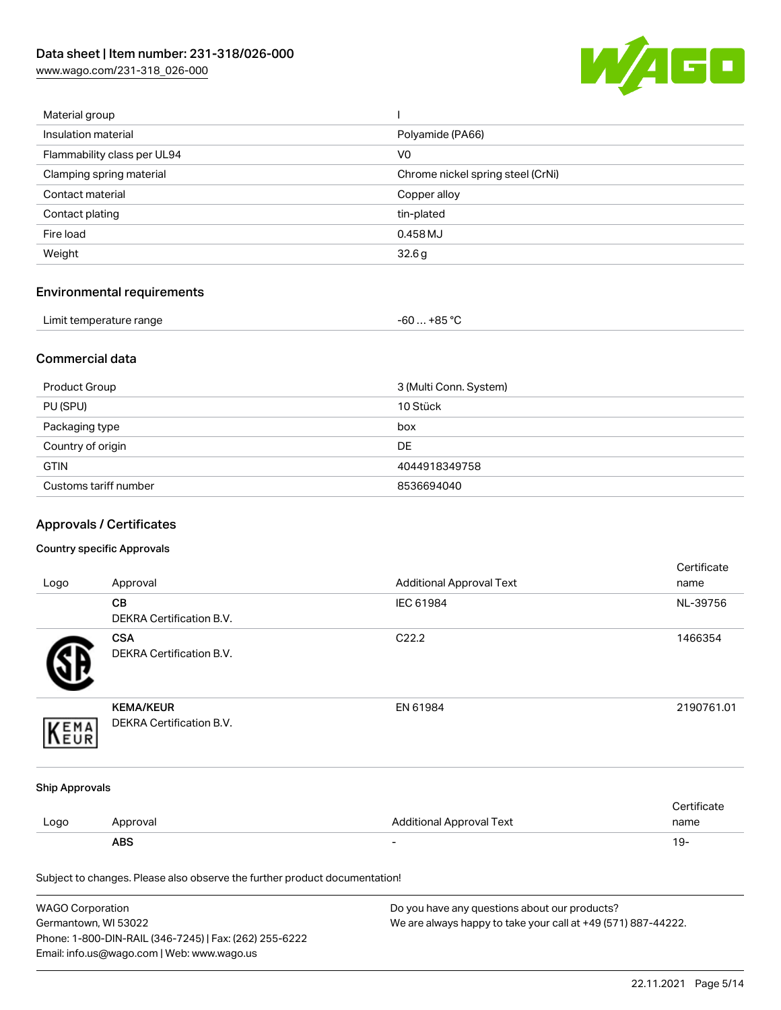

| Material group              |                                   |
|-----------------------------|-----------------------------------|
| Insulation material         | Polyamide (PA66)                  |
| Flammability class per UL94 | V <sub>0</sub>                    |
| Clamping spring material    | Chrome nickel spring steel (CrNi) |
| Contact material            | Copper alloy                      |
| Contact plating             | tin-plated                        |
| Fire load                   | 0.458 MJ                          |
| Weight                      | 32.6g                             |
|                             |                                   |

# Environmental requirements

| Limit temperature range | $-60+85 °C$ |  |
|-------------------------|-------------|--|
|-------------------------|-------------|--|

# Commercial data

| Product Group         | 3 (Multi Conn. System) |
|-----------------------|------------------------|
| PU (SPU)              | 10 Stück               |
| Packaging type        | box                    |
| Country of origin     | <b>DE</b>              |
| <b>GTIN</b>           | 4044918349758          |
| Customs tariff number | 8536694040             |

# Approvals / Certificates

### Country specific Approvals

|                                                                            |                                 |                                 | Certificate |
|----------------------------------------------------------------------------|---------------------------------|---------------------------------|-------------|
| Logo                                                                       | Approval                        | <b>Additional Approval Text</b> | name        |
|                                                                            | CB                              | IEC 61984                       | NL-39756    |
|                                                                            | DEKRA Certification B.V.        |                                 |             |
|                                                                            | <b>CSA</b>                      | C22.2                           | 1466354     |
|                                                                            | <b>DEKRA Certification B.V.</b> |                                 |             |
|                                                                            | <b>KEMA/KEUR</b>                | EN 61984                        | 2190761.01  |
| EMA                                                                        | DEKRA Certification B.V.        |                                 |             |
| <b>Ship Approvals</b>                                                      |                                 |                                 |             |
|                                                                            |                                 |                                 | Certificate |
| Logo                                                                       | Approval                        | <b>Additional Approval Text</b> | name        |
|                                                                            | <b>ABS</b>                      |                                 | $19 -$      |
| Subject to changes. Please also observe the further product documentation! |                                 |                                 |             |

| <b>WAGO Corporation</b>                                | Do you have any questions about our products?                 |
|--------------------------------------------------------|---------------------------------------------------------------|
| Germantown, WI 53022                                   | We are always happy to take your call at +49 (571) 887-44222. |
| Phone: 1-800-DIN-RAIL (346-7245)   Fax: (262) 255-6222 |                                                               |
| Email: info.us@wago.com   Web: www.wago.us             |                                                               |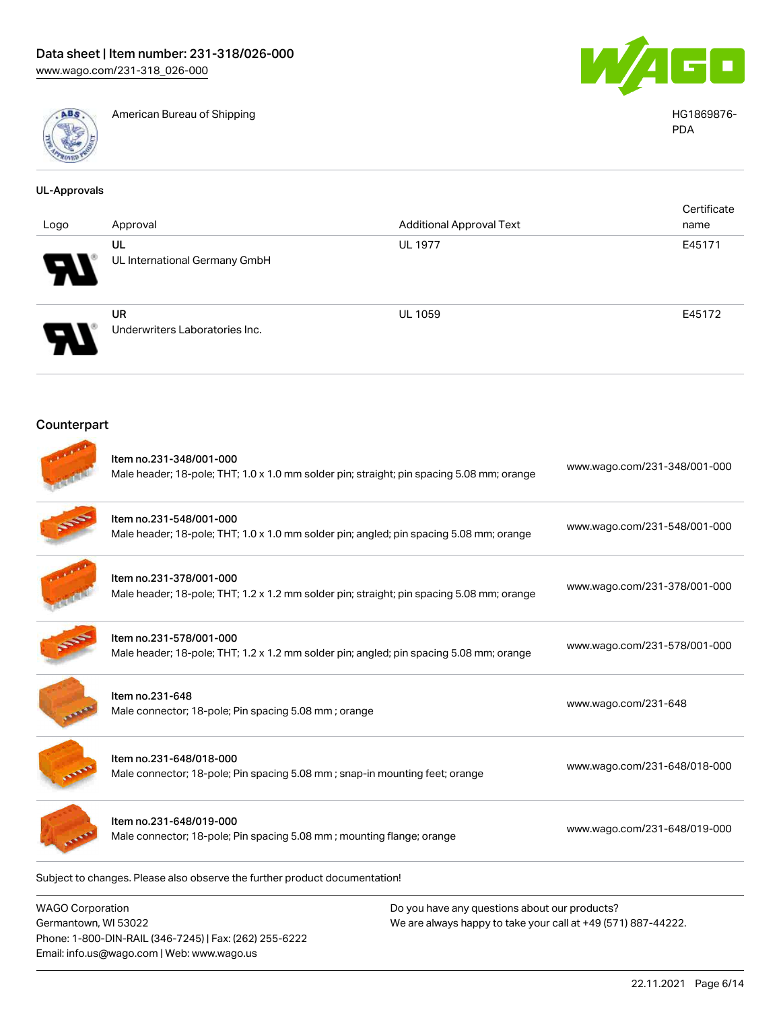Email: info.us@wago.com | Web: www.wago.us



American Bureau of Shipping **HG1869876-**



PDA

| <b>UL-Approvals</b>                             |                                                                                                                      |                                                                                                                |                              |
|-------------------------------------------------|----------------------------------------------------------------------------------------------------------------------|----------------------------------------------------------------------------------------------------------------|------------------------------|
| Logo                                            | Approval                                                                                                             | <b>Additional Approval Text</b>                                                                                | Certificate<br>name          |
|                                                 | UL<br>UL International Germany GmbH                                                                                  | <b>UL 1977</b>                                                                                                 | E45171                       |
|                                                 | <b>UR</b><br>Underwriters Laboratories Inc.                                                                          | <b>UL 1059</b>                                                                                                 | E45172                       |
| Counterpart                                     |                                                                                                                      |                                                                                                                |                              |
|                                                 | Item no.231-348/001-000<br>Male header; 18-pole; THT; 1.0 x 1.0 mm solder pin; straight; pin spacing 5.08 mm; orange |                                                                                                                | www.wago.com/231-348/001-000 |
|                                                 | Item no.231-548/001-000<br>Male header; 18-pole; THT; 1.0 x 1.0 mm solder pin; angled; pin spacing 5.08 mm; orange   |                                                                                                                | www.wago.com/231-548/001-000 |
|                                                 | Item no.231-378/001-000<br>Male header; 18-pole; THT; 1.2 x 1.2 mm solder pin; straight; pin spacing 5.08 mm; orange |                                                                                                                | www.wago.com/231-378/001-000 |
|                                                 | Item no.231-578/001-000<br>Male header; 18-pole; THT; 1.2 x 1.2 mm solder pin; angled; pin spacing 5.08 mm; orange   |                                                                                                                | www.wago.com/231-578/001-000 |
|                                                 | Item no.231-648<br>Male connector; 18-pole; Pin spacing 5.08 mm; orange                                              |                                                                                                                | www.wago.com/231-648         |
|                                                 | Item no.231-648/018-000<br>Male connector; 18-pole; Pin spacing 5.08 mm; snap-in mounting feet; orange               |                                                                                                                | www.wago.com/231-648/018-000 |
|                                                 | Item no.231-648/019-000<br>Male connector; 18-pole; Pin spacing 5.08 mm; mounting flange; orange                     |                                                                                                                | www.wago.com/231-648/019-000 |
|                                                 | Subject to changes. Please also observe the further product documentation!                                           |                                                                                                                |                              |
| <b>WAGO Corporation</b><br>Germantown, WI 53022 | Phone: 1-800-DIN-RAIL (346-7245)   Fax: (262) 255-6222                                                               | Do you have any questions about our products?<br>We are always happy to take your call at +49 (571) 887-44222. |                              |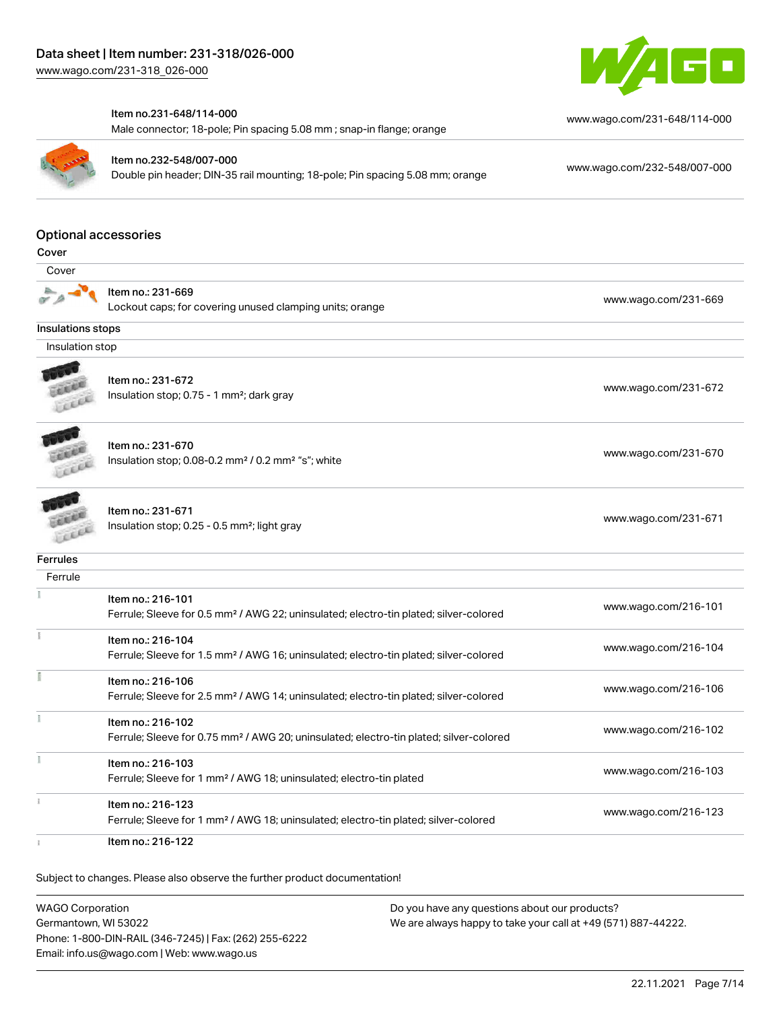

#### Item no.231-648/114-000

Male connector; 18-pole; Pin spacing 5.08 mm ; snap-in flange; orange



Item no.232-548/007-000

Double pin header; DIN-35 rail mounting; 18-pole; Pin spacing 5.08 mm; orange [www.wago.com/232-548/007-000](https://www.wago.com/232-548/007-000)

[www.wago.com/231-648/114-000](https://www.wago.com/231-648/114-000)

### Optional accessories

 Cover Item no.: 231-669 Lockout caps; for covering unused clamping units; orange [www.wago.com/231-669](http://www.wago.com/231-669) Insulations stops Insulation stop Item no.: 231-672 **COLLER** Insulation stop; 0.75 - 1 mm²; dark gray [www.wago.com/231-672](http://www.wago.com/231-672)<br>Insulation stop; 0.75 - 1 mm²; dark gray LEEEE Item no.: 231-670 Insulation stop; 0.08-0.2 mm<sup>2</sup>/0.2 mm<sup>2</sup> "s"; white [www.wago.com/231-670](http://www.wago.com/231-670) www.wago.com/231-670 Item no.: 231-671 Insulation stop; 0.25 - 0.5 mm<sup>2</sup>; light gray [www.wago.com/231-671](http://www.wago.com/231-671) www.wago.com/231-671 Leer **Ferrules Ferrule** Item no.: 216-101 Ferrule; Sleeve for 0.5 mm² / AWG 22; uninsulated; electro-tin plated; silver-colored [www.wago.com/216-101](http://www.wago.com/216-101)  $\frac{1}{2}$ Item no.: 216-104 Ferrule; Sleeve for 1.5 mm² / AWG 16; uninsulated; electro-tin plated; silver-colored [www.wago.com/216-104](http://www.wago.com/216-104) E Item no.: 216-106 Ferrule; Sleeve for 2.5 mm² / AWG 14; uninsulated; electro-tin plated; silver-colored [www.wago.com/216-106](http://www.wago.com/216-106) Item no.: 216-102 Ferrule; Sleeve for 0.75 mm² / AWG 20; uninsulated; electro-tin plated; silver-colored [www.wago.com/216-102](http://www.wago.com/216-102) Item no.: 216-103 Ferrule; Sleeve for 1 mm² / AWG 18; uninsulated; electro-tin plated [www.wago.com/216-103](http://www.wago.com/216-103) Item no.: 216-123 Ferrule; Sleeve for 1 mm² / AWG 18; uninsulated; electro-tin plated; silver-colored [www.wago.com/216-123](http://www.wago.com/216-123) Item no.: 216-122

Subject to changes. Please also observe the further product documentation!

WAGO Corporation Germantown, WI 53022 Phone: 1-800-DIN-RAIL (346-7245) | Fax: (262) 255-6222 Email: info.us@wago.com | Web: www.wago.us Do you have any questions about our products? We are always happy to take your call at +49 (571) 887-44222.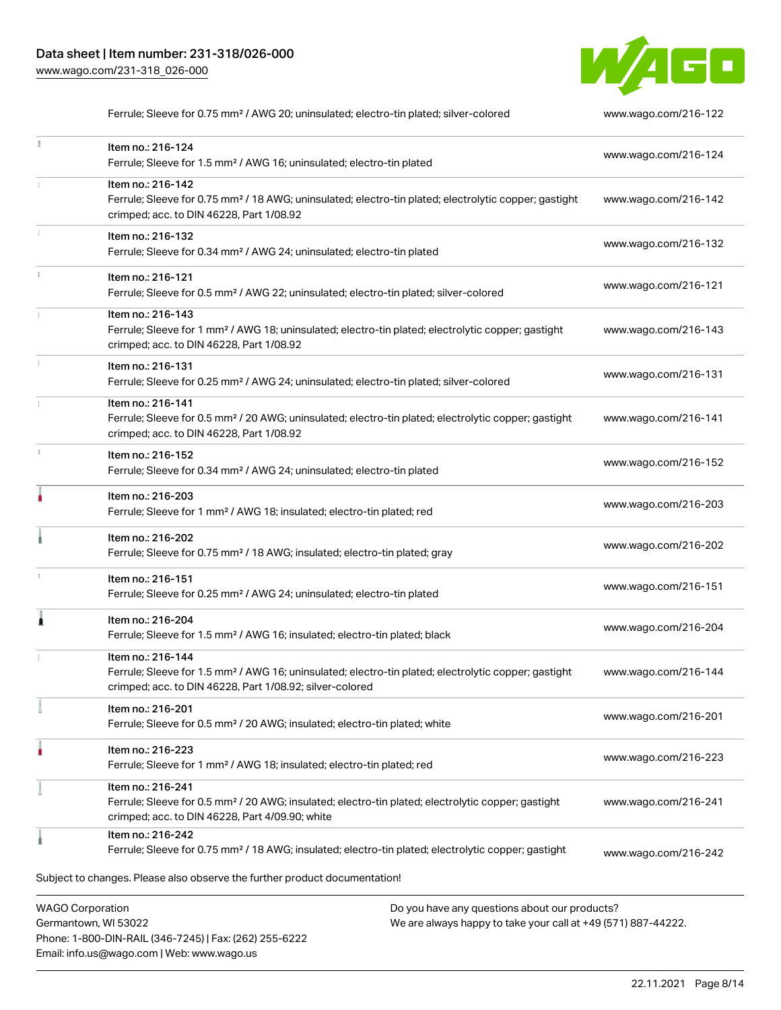Phone: 1-800-DIN-RAIL (346-7245) | Fax: (262) 255-6222

Email: info.us@wago.com | Web: www.wago.us



Ferrule; Sleeve for 0.75 mm<sup>2</sup> / AWG 20; uninsulated; electro-tin plated; silver-colored [www.wago.com/216-122](http://www.wago.com/216-122)

| Ĭ.                      | Item no.: 216-124<br>Ferrule; Sleeve for 1.5 mm <sup>2</sup> / AWG 16; uninsulated; electro-tin plated                                                                                            | www.wago.com/216-124                                                                                           |
|-------------------------|---------------------------------------------------------------------------------------------------------------------------------------------------------------------------------------------------|----------------------------------------------------------------------------------------------------------------|
|                         | Item no.: 216-142<br>Ferrule; Sleeve for 0.75 mm <sup>2</sup> / 18 AWG; uninsulated; electro-tin plated; electrolytic copper; gastight<br>crimped; acc. to DIN 46228, Part 1/08.92                | www.wago.com/216-142                                                                                           |
|                         | Item no.: 216-132<br>Ferrule; Sleeve for 0.34 mm <sup>2</sup> / AWG 24; uninsulated; electro-tin plated                                                                                           | www.wago.com/216-132                                                                                           |
|                         | Item no.: 216-121<br>Ferrule; Sleeve for 0.5 mm <sup>2</sup> / AWG 22; uninsulated; electro-tin plated; silver-colored                                                                            | www.wago.com/216-121                                                                                           |
|                         | Item no.: 216-143<br>Ferrule; Sleeve for 1 mm <sup>2</sup> / AWG 18; uninsulated; electro-tin plated; electrolytic copper; gastight<br>crimped; acc. to DIN 46228, Part 1/08.92                   | www.wago.com/216-143                                                                                           |
|                         | Item no.: 216-131<br>Ferrule; Sleeve for 0.25 mm <sup>2</sup> / AWG 24; uninsulated; electro-tin plated; silver-colored                                                                           | www.wago.com/216-131                                                                                           |
|                         | Item no.: 216-141<br>Ferrule; Sleeve for 0.5 mm <sup>2</sup> / 20 AWG; uninsulated; electro-tin plated; electrolytic copper; gastight<br>crimped; acc. to DIN 46228, Part 1/08.92                 | www.wago.com/216-141                                                                                           |
|                         | Item no.: 216-152<br>Ferrule; Sleeve for 0.34 mm <sup>2</sup> / AWG 24; uninsulated; electro-tin plated                                                                                           | www.wago.com/216-152                                                                                           |
| I                       | Item no.: 216-203<br>Ferrule; Sleeve for 1 mm <sup>2</sup> / AWG 18; insulated; electro-tin plated; red                                                                                           | www.wago.com/216-203                                                                                           |
|                         | Item no.: 216-202<br>Ferrule; Sleeve for 0.75 mm <sup>2</sup> / 18 AWG; insulated; electro-tin plated; gray                                                                                       | www.wago.com/216-202                                                                                           |
|                         | Item no.: 216-151<br>Ferrule; Sleeve for 0.25 mm <sup>2</sup> / AWG 24; uninsulated; electro-tin plated                                                                                           | www.wago.com/216-151                                                                                           |
| Â                       | Item no.: 216-204<br>Ferrule; Sleeve for 1.5 mm <sup>2</sup> / AWG 16; insulated; electro-tin plated; black                                                                                       | www.wago.com/216-204                                                                                           |
|                         | Item no.: 216-144<br>Ferrule; Sleeve for 1.5 mm <sup>2</sup> / AWG 16; uninsulated; electro-tin plated; electrolytic copper; gastight<br>crimped; acc. to DIN 46228, Part 1/08.92; silver-colored | www.wago.com/216-144                                                                                           |
|                         | Item no.: 216-201<br>Ferrule; Sleeve for 0.5 mm <sup>2</sup> / 20 AWG; insulated; electro-tin plated; white                                                                                       | www.wago.com/216-201                                                                                           |
|                         | Item no.: 216-223<br>Ferrule; Sleeve for 1 mm <sup>2</sup> / AWG 18; insulated; electro-tin plated; red                                                                                           | www.wago.com/216-223                                                                                           |
|                         | Item no.: 216-241<br>Ferrule; Sleeve for 0.5 mm <sup>2</sup> / 20 AWG; insulated; electro-tin plated; electrolytic copper; gastight<br>crimped; acc. to DIN 46228, Part 4/09.90; white            | www.wago.com/216-241                                                                                           |
|                         | Item no.: 216-242<br>Ferrule; Sleeve for 0.75 mm <sup>2</sup> / 18 AWG; insulated; electro-tin plated; electrolytic copper; gastight                                                              | www.wago.com/216-242                                                                                           |
|                         | Subject to changes. Please also observe the further product documentation!                                                                                                                        |                                                                                                                |
| <b>WAGO Corporation</b> | Germantown, WI 53022                                                                                                                                                                              | Do you have any questions about our products?<br>We are always happy to take your call at +49 (571) 887-44222. |

22.11.2021 Page 8/14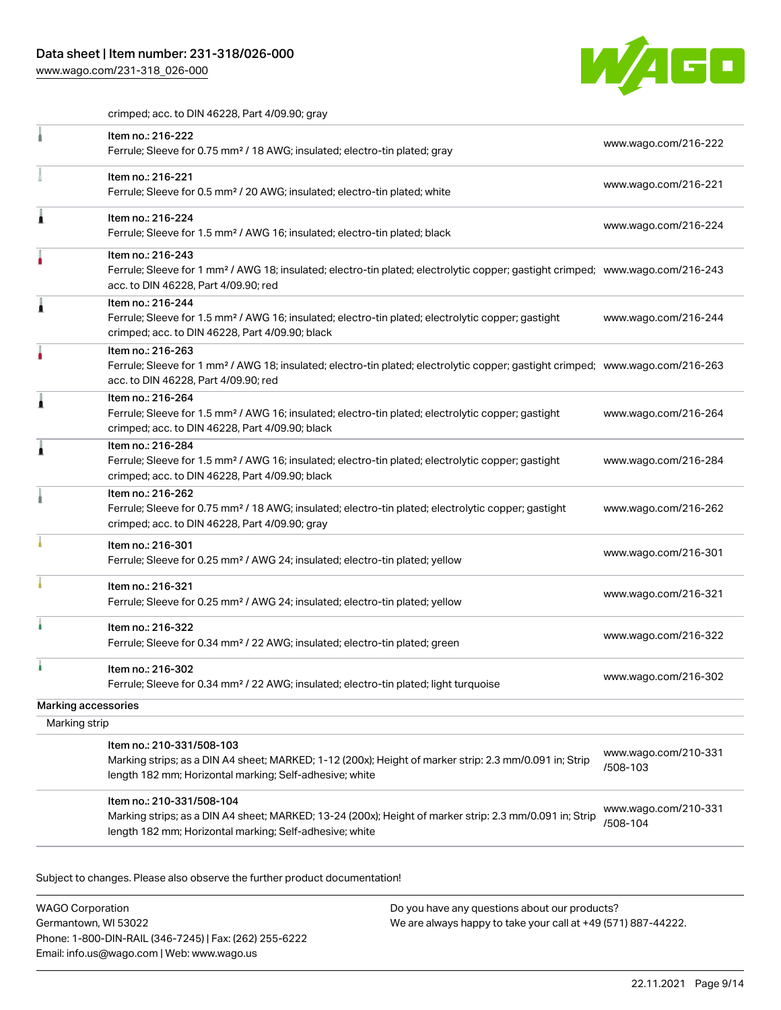

crimped; acc. to DIN 46228, Part 4/09.90; gray

|                     | Item no.: 216-222<br>Ferrule; Sleeve for 0.75 mm <sup>2</sup> / 18 AWG; insulated; electro-tin plated; gray                                                                                             | www.wago.com/216-222             |
|---------------------|---------------------------------------------------------------------------------------------------------------------------------------------------------------------------------------------------------|----------------------------------|
|                     | Item no.: 216-221<br>Ferrule; Sleeve for 0.5 mm <sup>2</sup> / 20 AWG; insulated; electro-tin plated; white                                                                                             | www.wago.com/216-221             |
|                     | Item no.: 216-224<br>Ferrule; Sleeve for 1.5 mm <sup>2</sup> / AWG 16; insulated; electro-tin plated; black                                                                                             | www.wago.com/216-224             |
|                     | Item no.: 216-243<br>Ferrule; Sleeve for 1 mm <sup>2</sup> / AWG 18; insulated; electro-tin plated; electrolytic copper; gastight crimped; www.wago.com/216-243<br>acc. to DIN 46228, Part 4/09.90; red |                                  |
| ٠                   | Item no.: 216-244<br>Ferrule; Sleeve for 1.5 mm <sup>2</sup> / AWG 16; insulated; electro-tin plated; electrolytic copper; gastight<br>crimped; acc. to DIN 46228, Part 4/09.90; black                  | www.wago.com/216-244             |
|                     | Item no.: 216-263<br>Ferrule; Sleeve for 1 mm <sup>2</sup> / AWG 18; insulated; electro-tin plated; electrolytic copper; gastight crimped; www.wago.com/216-263<br>acc. to DIN 46228, Part 4/09.90; red |                                  |
|                     | Item no.: 216-264<br>Ferrule; Sleeve for 1.5 mm <sup>2</sup> / AWG 16; insulated; electro-tin plated; electrolytic copper; gastight<br>crimped; acc. to DIN 46228, Part 4/09.90; black                  | www.wago.com/216-264             |
|                     | Item no.: 216-284<br>Ferrule; Sleeve for 1.5 mm <sup>2</sup> / AWG 16; insulated; electro-tin plated; electrolytic copper; gastight<br>crimped; acc. to DIN 46228, Part 4/09.90; black                  | www.wago.com/216-284             |
|                     | Item no.: 216-262<br>Ferrule; Sleeve for 0.75 mm <sup>2</sup> / 18 AWG; insulated; electro-tin plated; electrolytic copper; gastight<br>crimped; acc. to DIN 46228, Part 4/09.90; gray                  | www.wago.com/216-262             |
|                     | Item no.: 216-301<br>Ferrule; Sleeve for 0.25 mm <sup>2</sup> / AWG 24; insulated; electro-tin plated; yellow                                                                                           | www.wago.com/216-301             |
|                     | Item no.: 216-321<br>Ferrule; Sleeve for 0.25 mm <sup>2</sup> / AWG 24; insulated; electro-tin plated; yellow                                                                                           | www.wago.com/216-321             |
|                     | Item no.: 216-322<br>Ferrule; Sleeve for 0.34 mm <sup>2</sup> / 22 AWG; insulated; electro-tin plated; green                                                                                            | www.wago.com/216-322             |
|                     | Item no.: 216-302<br>Ferrule; Sleeve for 0.34 mm <sup>2</sup> / 22 AWG; insulated; electro-tin plated; light turquoise                                                                                  | www.wago.com/216-302             |
| Marking accessories |                                                                                                                                                                                                         |                                  |
| Marking strip       |                                                                                                                                                                                                         |                                  |
|                     | Item no.: 210-331/508-103<br>Marking strips; as a DIN A4 sheet; MARKED; 1-12 (200x); Height of marker strip: 2.3 mm/0.091 in; Strip<br>length 182 mm; Horizontal marking; Self-adhesive; white          | www.wago.com/210-331<br>/508-103 |
|                     | Item no.: 210-331/508-104<br>Marking strips; as a DIN A4 sheet; MARKED; 13-24 (200x); Height of marker strip: 2.3 mm/0.091 in; Strip<br>length 182 mm; Horizontal marking; Self-adhesive; white         | www.wago.com/210-331<br>/508-104 |

Subject to changes. Please also observe the further product documentation!

WAGO Corporation Germantown, WI 53022 Phone: 1-800-DIN-RAIL (346-7245) | Fax: (262) 255-6222 Email: info.us@wago.com | Web: www.wago.us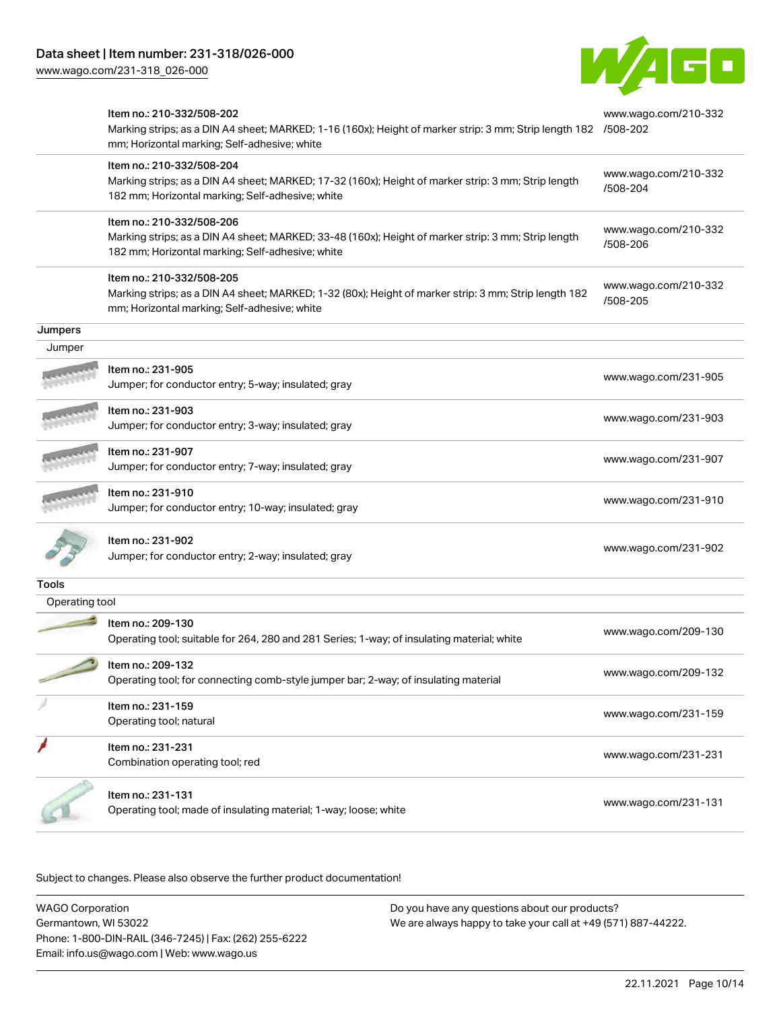

|                | Item no.: 210-332/508-202<br>Marking strips; as a DIN A4 sheet; MARKED; 1-16 (160x); Height of marker strip: 3 mm; Strip length 182 /508-202<br>mm; Horizontal marking; Self-adhesive; white |                                  |
|----------------|----------------------------------------------------------------------------------------------------------------------------------------------------------------------------------------------|----------------------------------|
|                | Item no.: 210-332/508-204<br>Marking strips; as a DIN A4 sheet; MARKED; 17-32 (160x); Height of marker strip: 3 mm; Strip length<br>182 mm; Horizontal marking; Self-adhesive; white         | www.wago.com/210-332<br>/508-204 |
|                | Item no.: 210-332/508-206<br>Marking strips; as a DIN A4 sheet; MARKED; 33-48 (160x); Height of marker strip: 3 mm; Strip length<br>182 mm; Horizontal marking; Self-adhesive; white         | www.wago.com/210-332<br>/508-206 |
|                | Item no.: 210-332/508-205<br>Marking strips; as a DIN A4 sheet; MARKED; 1-32 (80x); Height of marker strip: 3 mm; Strip length 182<br>mm; Horizontal marking; Self-adhesive; white           | www.wago.com/210-332<br>/508-205 |
| Jumpers        |                                                                                                                                                                                              |                                  |
| Jumper         |                                                                                                                                                                                              |                                  |
|                | Item no.: 231-905<br>Jumper; for conductor entry; 5-way; insulated; gray                                                                                                                     | www.wago.com/231-905             |
|                | Item no.: 231-903<br>Jumper; for conductor entry; 3-way; insulated; gray                                                                                                                     | www.wago.com/231-903             |
|                | ltem no.: 231-907<br>Jumper; for conductor entry; 7-way; insulated; gray                                                                                                                     | www.wago.com/231-907             |
|                | Item no.: 231-910<br>Jumper; for conductor entry; 10-way; insulated; gray                                                                                                                    | www.wago.com/231-910             |
|                | Item no.: 231-902<br>Jumper; for conductor entry; 2-way; insulated; gray                                                                                                                     | www.wago.com/231-902             |
| Tools          |                                                                                                                                                                                              |                                  |
| Operating tool |                                                                                                                                                                                              |                                  |
|                | Item no.: 209-130<br>Operating tool; suitable for 264, 280 and 281 Series; 1-way; of insulating material; white                                                                              | www.wago.com/209-130             |
|                | Item no.: 209-132<br>Operating tool; for connecting comb-style jumper bar; 2-way; of insulating material                                                                                     | www.wago.com/209-132             |
|                | Item no.: 231-159<br>Operating tool; natural                                                                                                                                                 | www.wago.com/231-159             |
|                | Item no.: 231-231<br>Combination operating tool; red                                                                                                                                         | www.wago.com/231-231             |
|                | Item no.: 231-131<br>Operating tool; made of insulating material; 1-way; loose; white                                                                                                        | www.wago.com/231-131             |

Subject to changes. Please also observe the further product documentation!

WAGO Corporation Germantown, WI 53022 Phone: 1-800-DIN-RAIL (346-7245) | Fax: (262) 255-6222 Email: info.us@wago.com | Web: www.wago.us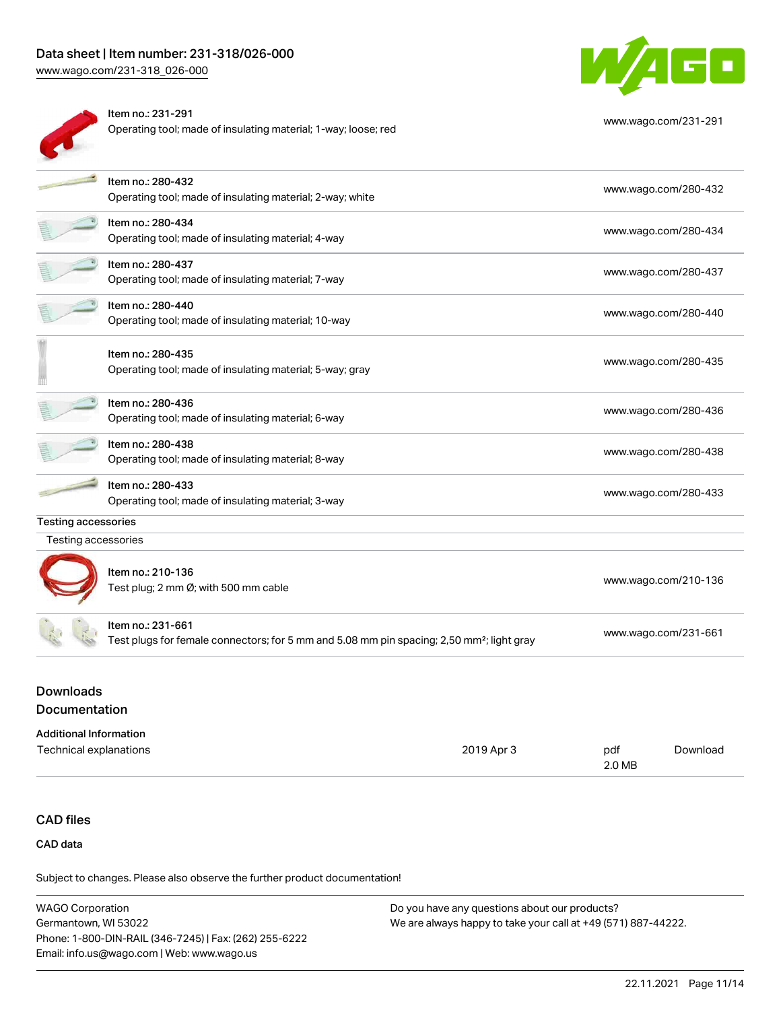# Data sheet | Item number: 231-318/026-000

[www.wago.com/231-318\\_026-000](http://www.wago.com/231-318_026-000)



Item no.: 231-291 Operating tool; made of insulating material; 1-way; loose; red



[www.wago.com/231-291](http://www.wago.com/231-291)

|                            | Item no.: 280-432<br>Operating tool; made of insulating material; 2-way; white                                             | www.wago.com/280-432 |
|----------------------------|----------------------------------------------------------------------------------------------------------------------------|----------------------|
|                            | Item no.: 280-434<br>Operating tool; made of insulating material; 4-way                                                    | www.wago.com/280-434 |
|                            | Item no.: 280-437<br>Operating tool; made of insulating material; 7-way                                                    | www.wago.com/280-437 |
|                            | Item no.: 280-440<br>Operating tool; made of insulating material; 10-way                                                   | www.wago.com/280-440 |
|                            | Item no.: 280-435<br>Operating tool; made of insulating material; 5-way; gray                                              | www.wago.com/280-435 |
|                            | Item no.: 280-436<br>Operating tool; made of insulating material; 6-way                                                    | www.wago.com/280-436 |
|                            | Item no.: 280-438<br>Operating tool; made of insulating material; 8-way                                                    | www.wago.com/280-438 |
|                            | Item no.: 280-433<br>Operating tool; made of insulating material; 3-way                                                    | www.wago.com/280-433 |
| <b>Testing accessories</b> |                                                                                                                            |                      |
| Testing accessories        |                                                                                                                            |                      |
|                            | Item no.: 210-136<br>Test plug; 2 mm Ø; with 500 mm cable                                                                  | www.wago.com/210-136 |
|                            | Item no.: 231-661<br>Test plugs for female connectors; for 5 mm and 5.08 mm pin spacing; 2,50 mm <sup>2</sup> ; light gray | www.wago.com/231-661 |

# Documentation

#### Additional Information

| Technical explanations | 2019 Apr 3 | pdf    | Download |
|------------------------|------------|--------|----------|
|                        |            | 2.0 MB |          |

# CAD files

CAD data

Subject to changes. Please also observe the further product documentation!

| <b>WAGO Corporation</b>                                | Do you have any questions about our products?                 |
|--------------------------------------------------------|---------------------------------------------------------------|
| Germantown, WI 53022                                   | We are always happy to take your call at +49 (571) 887-44222. |
| Phone: 1-800-DIN-RAIL (346-7245)   Fax: (262) 255-6222 |                                                               |
| Email: info.us@wago.com   Web: www.wago.us             |                                                               |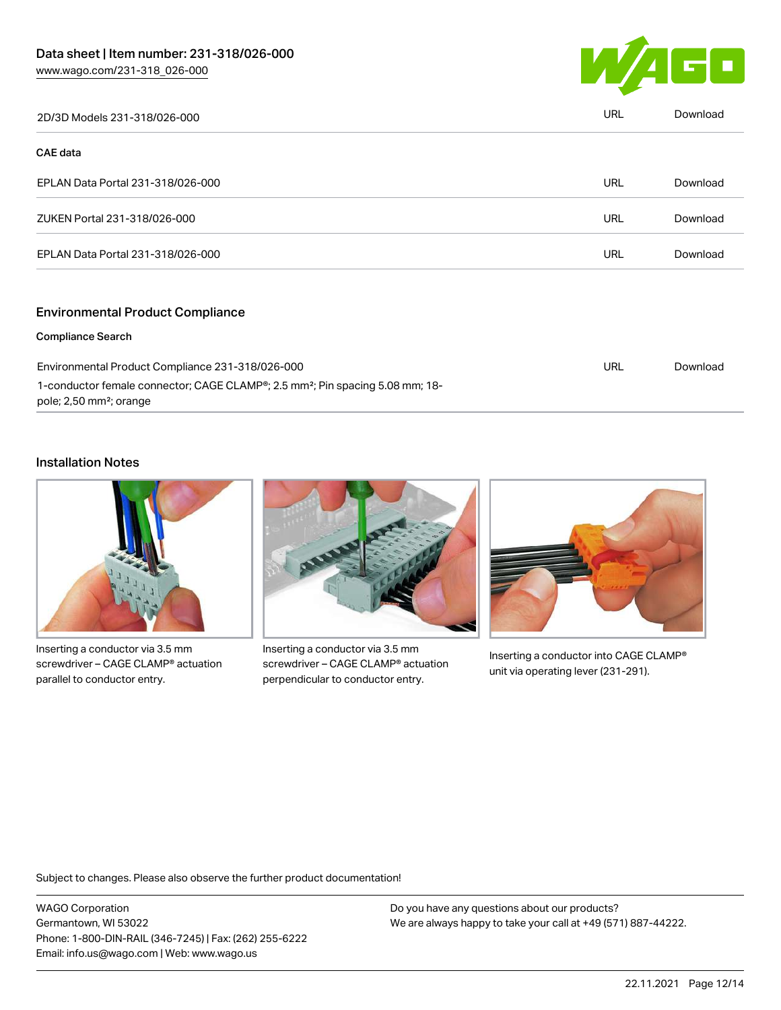

| 2D/3D Models 231-318/026-000      | <b>URL</b> | Download |
|-----------------------------------|------------|----------|
| <b>CAE data</b>                   |            |          |
| EPLAN Data Portal 231-318/026-000 | <b>URL</b> | Download |
| ZUKEN Portal 231-318/026-000      | <b>URL</b> | Download |
| EPLAN Data Portal 231-318/026-000 | URL        | Download |
|                                   |            |          |

### Environmental Product Compliance

#### Compliance Search

| Environmental Product Compliance 231-318/026-000                                                                                              | URL | Download |
|-----------------------------------------------------------------------------------------------------------------------------------------------|-----|----------|
| 1-conductor female connector; CAGE CLAMP <sup>®</sup> ; 2.5 mm <sup>2</sup> ; Pin spacing 5.08 mm; 18-<br>pole; 2,50 mm <sup>2</sup> ; orange |     |          |

# Installation Notes



Inserting a conductor via 3.5 mm screwdriver – CAGE CLAMP® actuation parallel to conductor entry.



Inserting a conductor via 3.5 mm screwdriver – CAGE CLAMP® actuation perpendicular to conductor entry.



Inserting a conductor into CAGE CLAMP® unit via operating lever (231-291).

Subject to changes. Please also observe the further product documentation!

WAGO Corporation Germantown, WI 53022 Phone: 1-800-DIN-RAIL (346-7245) | Fax: (262) 255-6222 Email: info.us@wago.com | Web: www.wago.us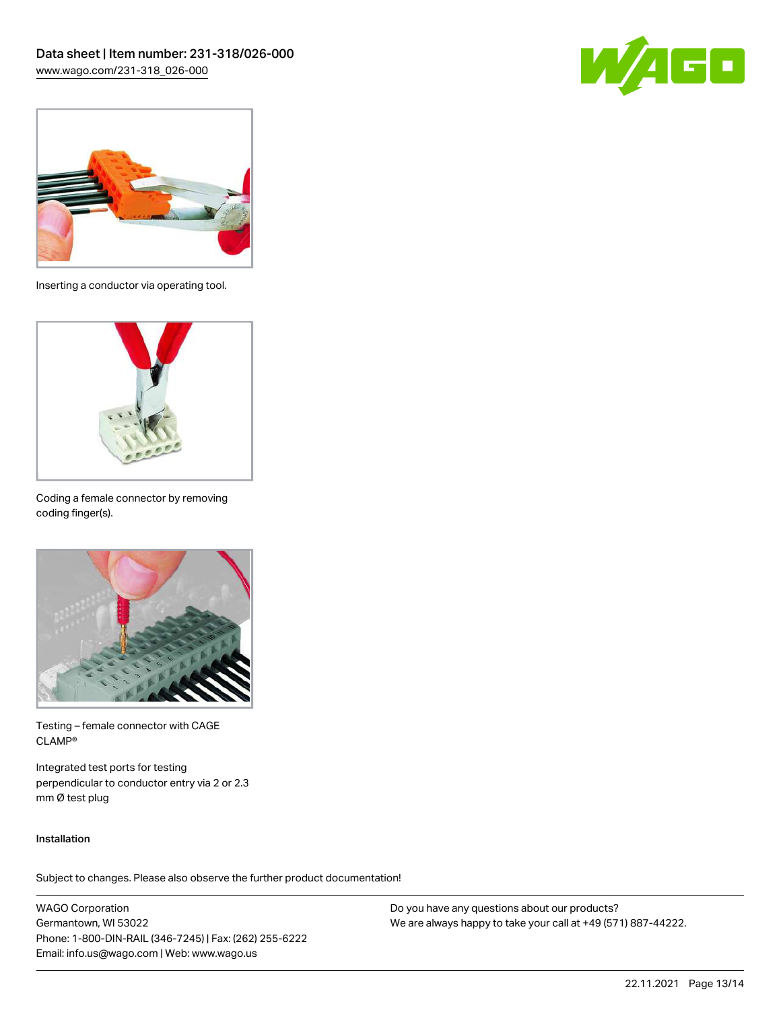



Inserting a conductor via operating tool.



Coding a female connector by removing coding finger(s).



Testing – female connector with CAGE CLAMP®

Integrated test ports for testing perpendicular to conductor entry via 2 or 2.3 mm Ø test plug

### Installation

Subject to changes. Please also observe the further product documentation!

WAGO Corporation Germantown, WI 53022 Phone: 1-800-DIN-RAIL (346-7245) | Fax: (262) 255-6222 Email: info.us@wago.com | Web: www.wago.us